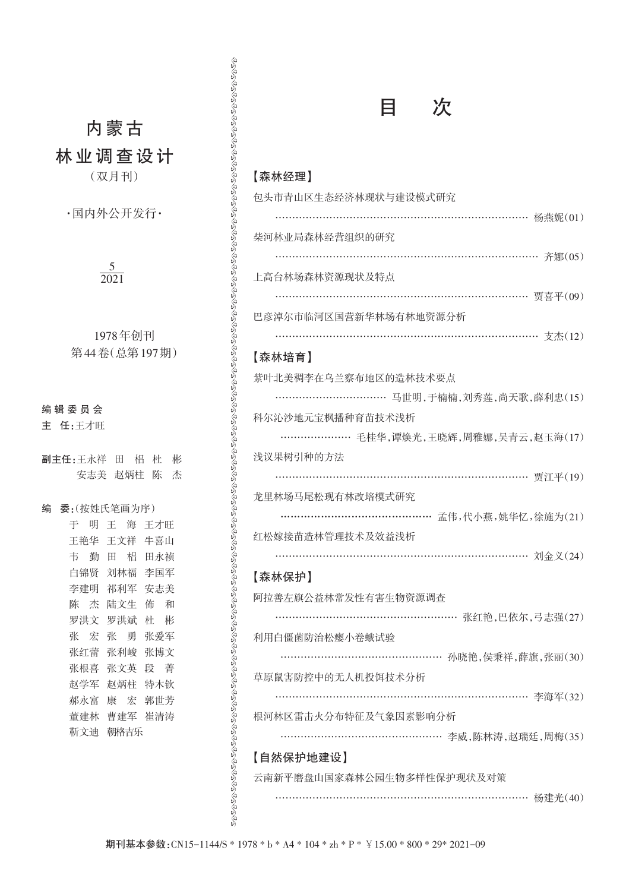# 内蒙古

林业调查设计

(双月刊)

·国内外公开发行·

### $\frac{5}{2}$ 2021

| 1978年创刊      |  |
|--------------|--|
| 第44卷(总第197期) |  |

## 编 辑 委 员 会

主 任:王才旺

|   | 副主任:王永祥 田   | 梠           | 杜<br>彬      |
|---|-------------|-------------|-------------|
|   |             |             | 安志美 赵炳柱 陈 杰 |
|   |             |             |             |
| 编 | 委:(按姓氏笔画为序) |             |             |
|   |             | 于 明 王 海 王才旺 |             |
|   |             | 王艳华 王文祥 牛喜山 |             |
|   | 韦 勤 田       |             | 梠 田永祯       |
|   |             | 白锦贤 刘林福 李国军 |             |
|   |             | 李建明 祁利军 安志美 |             |
|   |             | 陈 杰 陆文生     | 佈 和         |
|   | 罗洪文         | 罗洪斌         | 杜彬          |
|   | 张 宏         | 张 勇         | 张爱军         |
|   | 张红蕾         | 张利峻         | 张博文         |
|   | 张根喜         | 张文英         | 段 著         |
|   | 赵学军         | 赵炳柱         | 特木钦         |
|   | 郝永富         | 康宏          | 郭世芳         |
|   | 董建林         | 曹建军         | 崔清涛         |
|   | 靳文迪         | 朝格吉乐        |             |
|   |             |             |             |
|   |             |             |             |

| 次                                                                                   |
|-------------------------------------------------------------------------------------|
| 【森林经理】<br>包头市青山区生态经济林现状与建设模式研究                                                      |
| ………………………………………………… 杨燕妮(01)<br>柴河林业局森林经营组织的研究                                       |
| ………………………………………………………………… 齐娜(05)<br>上高台林场森林资源现状及特点<br>……………………………………………………… 贾喜平(09) |
| 巴彦淖尔市临河区国营新华林场有林地资源分析                                                               |
| 【森林培育】                                                                              |
| 紫叶北美稠李在乌兰察布地区的造林技术要点<br>……………………………… 马世明,于楠楠,刘秀莲,尚天歌,薛利忠(15)                        |
| 科尔沁沙地元宝枫播种育苗技术浅析<br>…………………… 毛桂华,谭焕光,王晓辉,周雅娜,吴青云,赵玉海(17)                            |
| 浅议果树引种的方法<br>………………………………………………… 贾江平(19)                                            |
| 龙里林场马尾松现有林改培模式研究<br>孟伟,代小燕,姚华忆,徐施为(21)<br>红松嫁接苗造林管理技术及效益浅析                          |
| ……………………………………………………………… 刘金义(24)<br>【森林保护】                                          |
| 阿拉善左旗公益林常发性有害生物资源调查                                                                 |
| ……………………………………………… 张红艳,巴依尔,弓志强(27)<br>利用白僵菌防治松瘿小卷蛾试验                                |
| ………………………………………… 孙晓艳,侯秉祥,薛旗,张丽(30)<br>草原鼠害防控中的无人机投饵技术分析                             |
| …………………………………………………………… 李海军(32)<br>根河林区雷击火分布特征及气象因素影响分析                             |
| ………………………………………… 李威,陈林涛,赵瑞廷,周梅(35)<br>【自然保护地建设】                                     |
| 云南新平磨盘山国家森林公园生物多样性保护现状及对策<br>……………………………………………………………… 杨建光(40)                       |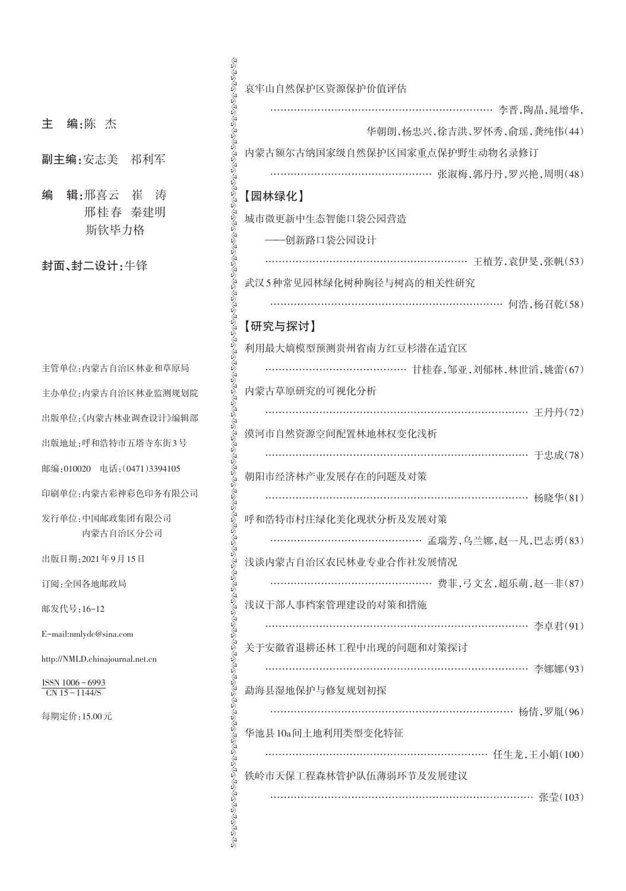| 主 |  | 编:陈 | 杰 |
|---|--|-----|---|
|   |  |     |   |

- 副主编:安志美 祁利军
- 编 辑:邢喜云 崔 涛 邢桂春 秦建明 斯钦毕力格

封面、封二设计:牛锋

| 主管单位:内蒙古自治区林业和草原局                                               |
|-----------------------------------------------------------------|
| 主办单位:内蒙古自治区林业监测规划院                                              |
| 出版单位:《内蒙古林业调查设计》编辑部                                             |
| 出版地址:呼和浩特市五塔寺东街3号                                               |
| 邮编:010020 电话: (0471)3394105                                     |
| 印刷单位:内蒙古彩神彩色印务有限公司                                              |
| 发行单位:中国邮政集团有限公司<br>内蒙古自治区分公司                                    |
| 出版日期: 2021年9月15日                                                |
| 订阅: 全国各地邮政局                                                     |
| 邮发代号:16-12                                                      |
| E-mail:nmlydc@sina.com                                          |
| http://NMLD.chinajournal.net.cn                                 |
| $\frac{\text{ISSN }1006 - 6993}{\text{CN }15 - 1144 \text{/S}}$ |
| 每期定价:15.00元                                                     |
|                                                                 |
|                                                                 |

| 哀牢山自然保护区资源保护价值评估                      |
|---------------------------------------|
| …………………………………………………… 李晋,陶晶,晁增华,       |
|                                       |
| 华朝朗, 杨忠兴, 徐吉洪, 罗怀秀, 俞瑶, 龚纯伟(44)       |
| 内蒙古额尔古纳国家级自然保护区国家重点保护野生动物名录修订         |
| ………………………………………… 张淑梅,郭丹丹,罗兴艳,周明(48)   |
| 【园林绿化】                                |
| 城市微更新中生杰智能口袋公园营造                      |
| ——创新路口袋公园设计                           |
| ………………………………………………… 王植芳,袁伊旻,张帆(53)    |
| 武汉5种常见园林绿化树种胸径与树高的相关性研究               |
| ………………………………………………………… 何浩,杨召乾(58)     |
| 【研究与探讨】                               |
| 利用最大熵模型预测贵州省南方红豆杉潜在适宜区                |
| ……………………………………… 甘桂春,邹亚,刘郁林,林世滔,姚蕾(67) |
| 内蒙古草原研究的可视化分析                         |
| …………………………………………………………………… 王丹丹(72)    |
| 漠河市自然资源空间配置林地林权变化浅析                   |
|                                       |
| 朝阳市经济林产业发展存在的问题及对策                    |
| ……………………………………………………………… 杨晓华(81)      |
| 呼和浩特市村庄绿化美化现状分析及发展对策                  |
| …………………………………………… 孟瑞芳.乌兰娜.赵一凡.巴志勇(83) |
| 浅谈内蒙古自治区农民林业专业合作社发展情况                 |
| ………………………………………… 费菲,弓文玄,超乐萌,赵一非(87)   |
| 浅议干部人事档案管理建设的对策和措施                    |
|                                       |
| 关于安徽省退耕还林工程中出现的问题和对策探讨                |
| ……………………………………………………………… 李娜娜(93)      |
|                                       |
| 勐海县湿地保护与修复规划初探                        |
| ………………………………………………………… 杨倩,罗胤(96)      |
| 华池县10a间土地利用类型变化特征                     |
|                                       |
| 铁岭市天保工程森林管护队伍薄弱环节及发展建议                |
| …………………………………………………………… 张莹(103)       |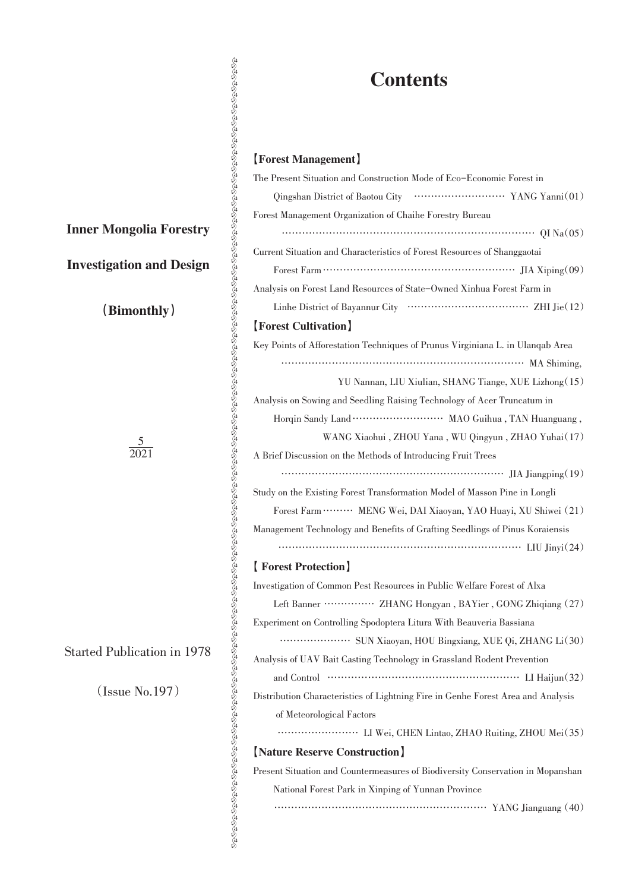# **Contents**

## 【Forest Management】

| <b>Contents</b>                                                                               |  |  |  |
|-----------------------------------------------------------------------------------------------|--|--|--|
|                                                                                               |  |  |  |
| [Forest Management]                                                                           |  |  |  |
| The Present Situation and Construction Mode of Eco–Economic Forest in                         |  |  |  |
|                                                                                               |  |  |  |
| Forest Management Organization of Chaihe Forestry Bureau                                      |  |  |  |
| $\cdots$ OI Na(05)                                                                            |  |  |  |
| Current Situation and Characteristics of Forest Resources of Shanggaotai                      |  |  |  |
|                                                                                               |  |  |  |
| Analysis on Forest Land Resources of State-Owned Xinhua Forest Farm in                        |  |  |  |
|                                                                                               |  |  |  |
| [Forest Cultivation]                                                                          |  |  |  |
| Key Points of Afforestation Techniques of Prunus Virginiana L. in Ulanqab Area<br>MA Shiming, |  |  |  |
| YU Nannan, LIU Xiulian, SHANG Tiange, XUE Lizhong (15)                                        |  |  |  |
| Analysis on Sowing and Seedling Raising Technology of Acer Truncatum in                       |  |  |  |
|                                                                                               |  |  |  |
| WANG Xiaohui, ZHOU Yana, WU Qingyun, ZHAO Yuhai(17)                                           |  |  |  |
| A Brief Discussion on the Methods of Introducing Fruit Trees                                  |  |  |  |
|                                                                                               |  |  |  |
| Study on the Existing Forest Transformation Model of Masson Pine in Longli                    |  |  |  |
| Forest Farm  MENG Wei, DAI Xiaoyan, YAO Huayi, XU Shiwei (21)                                 |  |  |  |
| Management Technology and Benefits of Grafting Seedlings of Pinus Koraiensis                  |  |  |  |
|                                                                                               |  |  |  |
| [Forest Protection]                                                                           |  |  |  |
| Investigation of Common Pest Resources in Public Welfare Forest of Alxa                       |  |  |  |
| Left Banner ················ ZHANG Hongyan, BAYier, GONG Zhiqiang (27)                        |  |  |  |
| Experiment on Controlling Spodoptera Litura With Beauveria Bassiana                           |  |  |  |
|                                                                                               |  |  |  |
| Analysis of UAV Bait Casting Technology in Grassland Rodent Prevention                        |  |  |  |
|                                                                                               |  |  |  |
| Distribution Characteristics of Lightning Fire in Genhe Forest Area and Analysis              |  |  |  |
| of Meteorological Factors                                                                     |  |  |  |
|                                                                                               |  |  |  |
| [Nature Reserve Construction]                                                                 |  |  |  |
| Present Situation and Countermeasures of Biodiversity Conservation in Mopanshan               |  |  |  |
| National Forest Park in Xinping of Yunnan Province                                            |  |  |  |
|                                                                                               |  |  |  |

Inner Mongolia Forestry

# Investigation and Design

(Bimonthly)

5 2021

Started Publication in 1978

(Issue No.197)